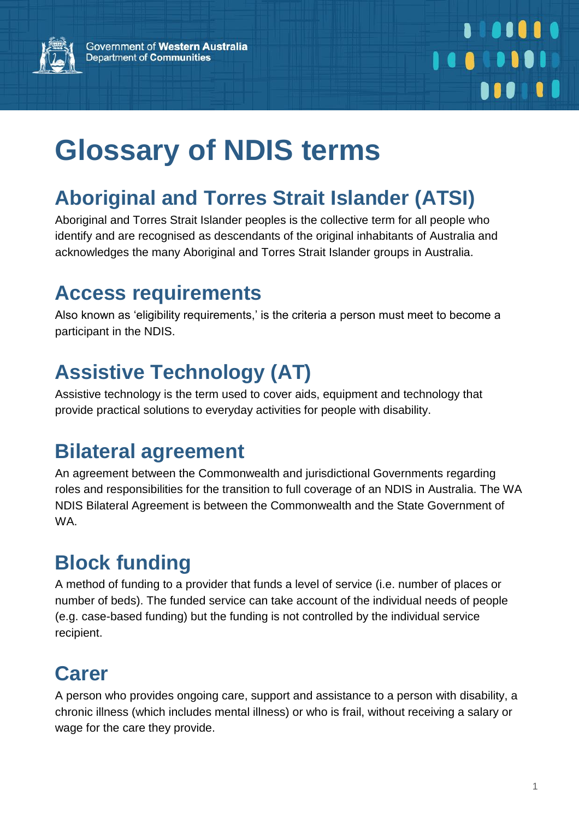

# **Aboriginal and Torres Strait Islander (ATSI)**

Aboriginal and Torres Strait Islander peoples is the collective term for all people who identify and are recognised as descendants of the original inhabitants of Australia and acknowledges the many Aboriginal and Torres Strait Islander groups in Australia.

### **Access requirements**

Also known as 'eligibility requirements,' is the criteria a person must meet to become a participant in the NDIS.

# **Assistive Technology (AT)**

Assistive technology is the term used to cover aids, equipment and technology that provide practical solutions to everyday activities for people with disability.

### **Bilateral agreement**

An agreement between the Commonwealth and jurisdictional Governments regarding roles and responsibilities for the transition to full coverage of an NDIS in Australia. The WA NDIS Bilateral Agreement is between the Commonwealth and the State Government of WA.

# **Block funding**

A method of funding to a provider that funds a level of service (i.e. number of places or number of beds). The funded service can take account of the individual needs of people (e.g. case-based funding) but the funding is not controlled by the individual service recipient.

# **Carer**

A person who provides ongoing care, support and assistance to a person with disability, a chronic illness (which includes mental illness) or who is frail, without receiving a salary or wage for the care they provide.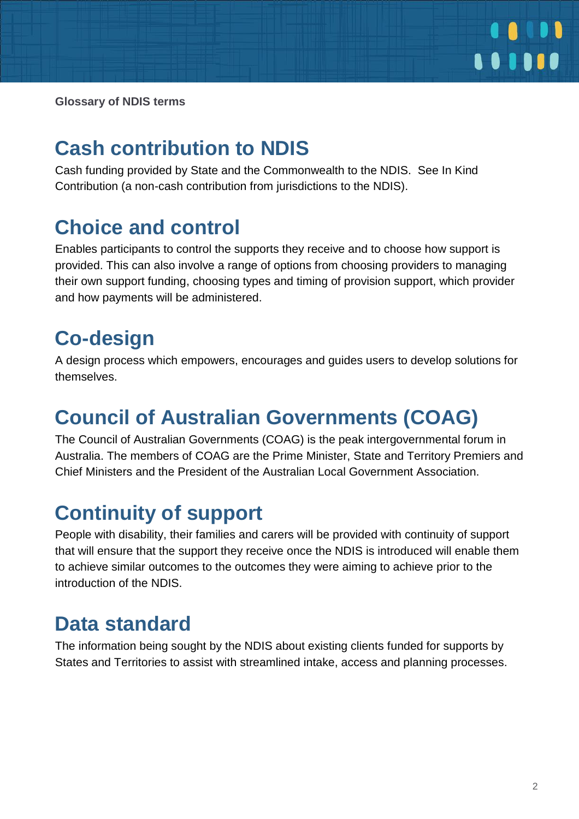

### **Cash contribution to NDIS**

Cash funding provided by State and the Commonwealth to the NDIS. See In Kind Contribution (a non-cash contribution from jurisdictions to the NDIS).

### **Choice and control**

Enables participants to control the supports they receive and to choose how support is provided. This can also involve a range of options from choosing providers to managing their own support funding, choosing types and timing of provision support, which provider and how payments will be administered.

# **Co-design**

A design process which empowers, encourages and guides users to develop solutions for themselves.

### **Council of Australian Governments (COAG)**

The Council of Australian Governments (COAG) is the peak intergovernmental forum in Australia. The members of COAG are the Prime Minister, State and Territory Premiers and Chief Ministers and the President of the Australian Local Government Association.

# **Continuity of support**

People with disability, their families and carers will be provided with continuity of support that will ensure that the support they receive once the NDIS is introduced will enable them to achieve similar outcomes to the outcomes they were aiming to achieve prior to the introduction of the NDIS.

### **Data standard**

The information being sought by the NDIS about existing clients funded for supports by States and Territories to assist with streamlined intake, access and planning processes.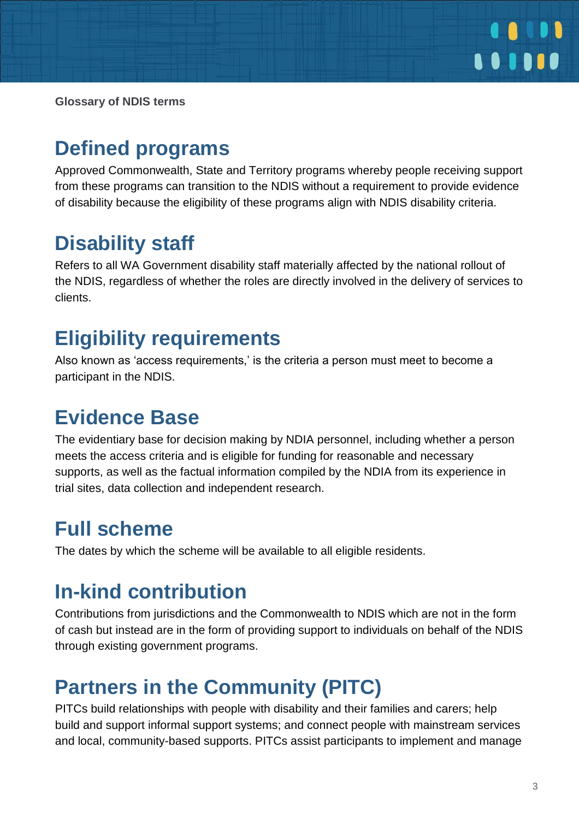

### **Defined programs**

Approved Commonwealth, State and Territory programs whereby people receiving support from these programs can transition to the NDIS without a requirement to provide evidence of disability because the eligibility of these programs align with NDIS disability criteria.

### **Disability staff**

Refers to all WA Government disability staff materially affected by the national rollout of the NDIS, regardless of whether the roles are directly involved in the delivery of services to clients.

### **Eligibility requirements**

Also known as 'access requirements,' is the criteria a person must meet to become a participant in the NDIS.

### **Evidence Base**

The evidentiary base for decision making by NDIA personnel, including whether a person meets the access criteria and is eligible for funding for reasonable and necessary supports, as well as the factual information compiled by the NDIA from its experience in trial sites, data collection and independent research.

### **Full scheme**

The dates by which the scheme will be available to all eligible residents.

### **In-kind contribution**

Contributions from jurisdictions and the Commonwealth to NDIS which are not in the form of cash but instead are in the form of providing support to individuals on behalf of the NDIS through existing government programs.

### **Partners in the Community (PITC)**

PITCs build relationships with people with disability and their families and carers; help build and support informal support systems; and connect people with mainstream services and local, community-based supports. PITCs assist participants to implement and manage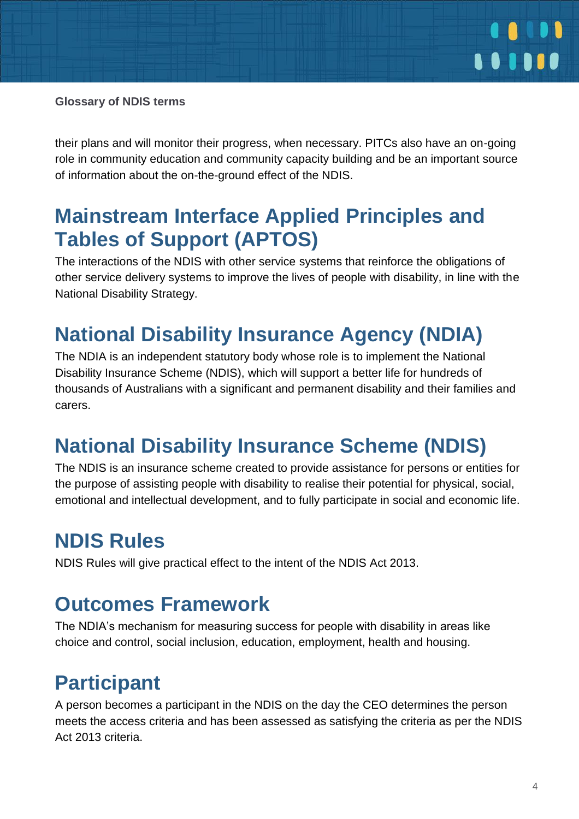

their plans and will monitor their progress, when necessary. PITCs also have an on-going role in community education and community capacity building and be an important source of information about the on-the-ground effect of the NDIS.

### **Mainstream Interface Applied Principles and Tables of Support (APTOS)**

The interactions of the NDIS with other service systems that reinforce the obligations of other service delivery systems to improve the lives of people with disability, in line with the National Disability Strategy.

### **National Disability Insurance Agency (NDIA)**

The NDIA is an independent statutory body whose role is to implement the National Disability Insurance Scheme (NDIS), which will support a better life for hundreds of thousands of Australians with a significant and permanent disability and their families and carers.

### **National Disability Insurance Scheme (NDIS)**

The NDIS is an insurance scheme created to provide assistance for persons or entities for the purpose of assisting people with disability to realise their potential for physical, social, emotional and intellectual development, and to fully participate in social and economic life.

### **NDIS Rules**

NDIS Rules will give practical effect to the intent of the NDIS Act 2013.

### **Outcomes Framework**

The NDIA's mechanism for measuring success for people with disability in areas like choice and control, social inclusion, education, employment, health and housing.

### **Participant**

A person becomes a participant in the NDIS on the day the CEO determines the person meets the access criteria and has been assessed as satisfying the criteria as per the NDIS Act 2013 criteria.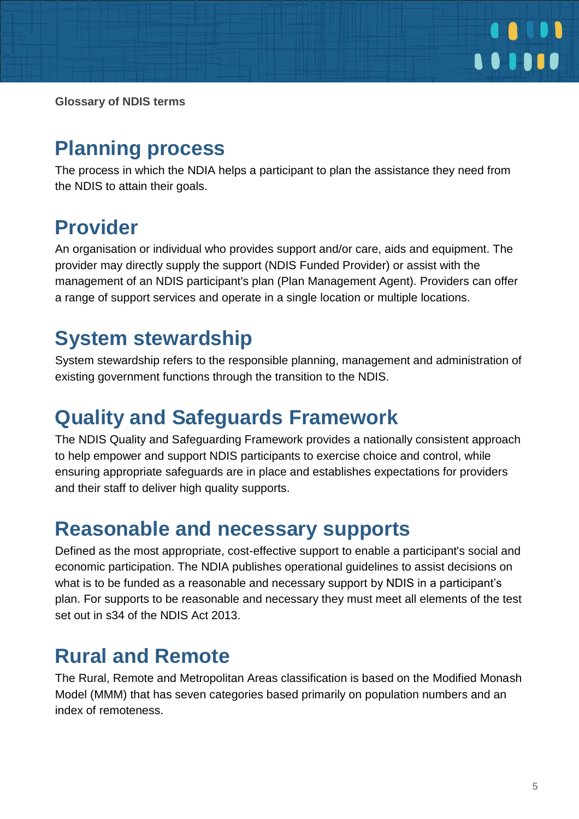

### **Planning process**

The process in which the NDIA helps a participant to plan the assistance they need from the NDIS to attain their goals.

### **Provider**

An organisation or individual who provides support and/or care, aids and equipment. The provider may directly supply the support (NDIS Funded Provider) or assist with the management of an NDIS participant's plan (Plan Management Agent). Providers can offer a range of support services and operate in a single location or multiple locations.

### **System stewardship**

System stewardship refers to the responsible planning, management and administration of existing government functions through the transition to the NDIS.

### **Quality and Safeguards Framework**

The NDIS Quality and Safeguarding Framework provides a nationally consistent approach to help empower and support NDIS participants to exercise choice and control, while ensuring appropriate safeguards are in place and establishes expectations for providers and their staff to deliver high quality supports.

### **Reasonable and necessary supports**

Defined as the most appropriate, cost-effective support to enable a participant's social and economic participation. The NDIA publishes operational guidelines to assist decisions on what is to be funded as a reasonable and necessary support by NDIS in a participant's plan. For supports to be reasonable and necessary they must meet all elements of the test set out in s34 of the NDIS Act 2013.

### **Rural and Remote**

The Rural, Remote and Metropolitan Areas classification is based on the Modified Monash Model (MMM) that has seven categories based primarily on population numbers and an index of remoteness.